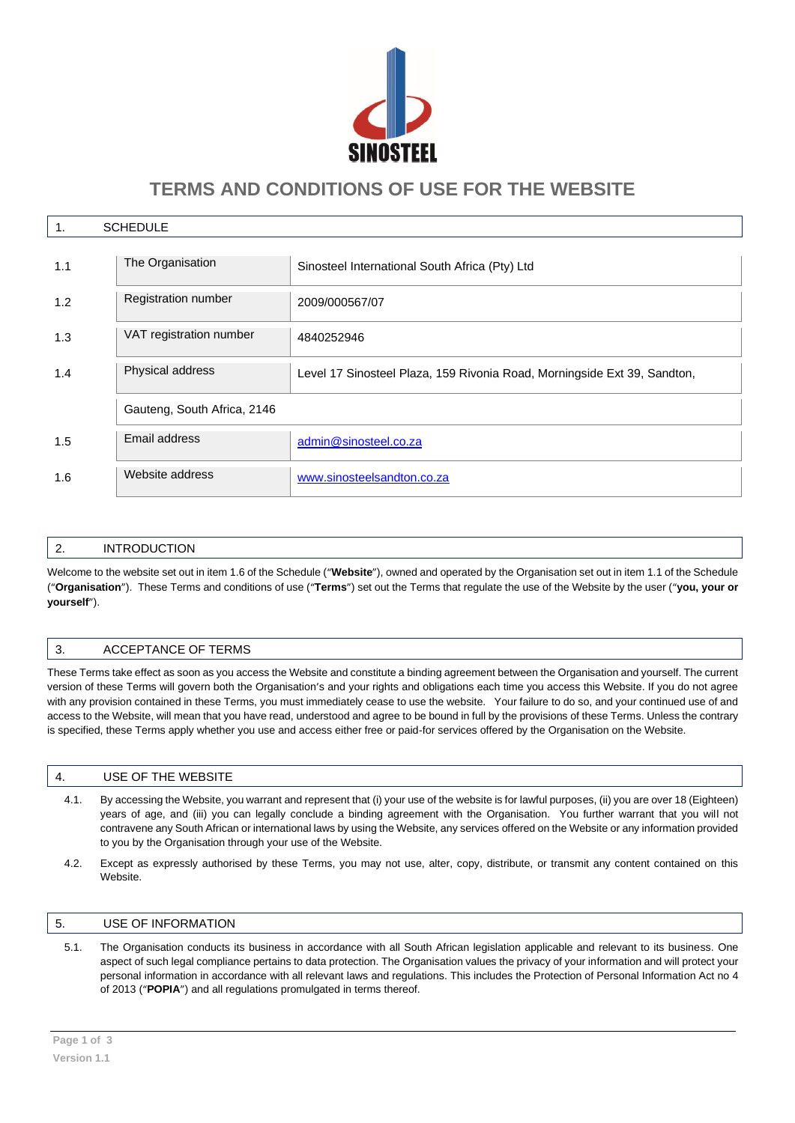

# **TERMS AND CONDITIONS OF USE FOR THE WEBSITE**

| <b>SCHEDULE</b><br>1. |                             |                                                                          |
|-----------------------|-----------------------------|--------------------------------------------------------------------------|
| 1.1                   | The Organisation            | Sinosteel International South Africa (Pty) Ltd                           |
| 1.2                   | Registration number         | 2009/000567/07                                                           |
| 1.3                   | VAT registration number     | 4840252946                                                               |
| 1.4                   | Physical address            | Level 17 Sinosteel Plaza, 159 Rivonia Road, Morningside Ext 39, Sandton, |
|                       | Gauteng, South Africa, 2146 |                                                                          |
| 1.5                   | Email address               | admin@sinosteel.co.za                                                    |
| 1.6                   | Website address             | www.sinosteelsandton.co.za                                               |

# 2. INTRODUCTION

Welcome to the website set out in item 1.6 of the Schedule ("**Website**"), owned and operated by the Organisation set out in item 1.1 of the Schedule ("**Organisation**"). These Terms and conditions of use ("**Terms**") set out the Terms that regulate the use of the Website by the user ("**you, your or yourself**").

# 3. ACCEPTANCE OF TERMS

These Terms take effect as soon as you access the Website and constitute a binding agreement between the Organisation and yourself. The current version of these Terms will govern both the Organisation's and your rights and obligations each time you access this Website. If you do not agree with any provision contained in these Terms, you must immediately cease to use the website. Your failure to do so, and your continued use of and access to the Website, will mean that you have read, understood and agree to be bound in full by the provisions of these Terms. Unless the contrary is specified, these Terms apply whether you use and access either free or paid-for services offered by the Organisation on the Website.

#### 4. USE OF THE WEBSITE

- 4.1. By accessing the Website, you warrant and represent that (i) your use of the website is for lawful purposes, (ii) you are over 18 (Eighteen) years of age, and (iii) you can legally conclude a binding agreement with the Organisation. You further warrant that you will not contravene any South African or international laws by using the Website, any services offered on the Website or any information provided to you by the Organisation through your use of the Website.
- 4.2. Except as expressly authorised by these Terms, you may not use, alter, copy, distribute, or transmit any content contained on this Website.

#### 5. USE OF INFORMATION

5.1. The Organisation conducts its business in accordance with all South African legislation applicable and relevant to its business. One aspect of such legal compliance pertains to data protection. The Organisation values the privacy of your information and will protect your personal information in accordance with all relevant laws and regulations. This includes the Protection of Personal Information Act no 4 of 2013 ("**POPIA**") and all regulations promulgated in terms thereof.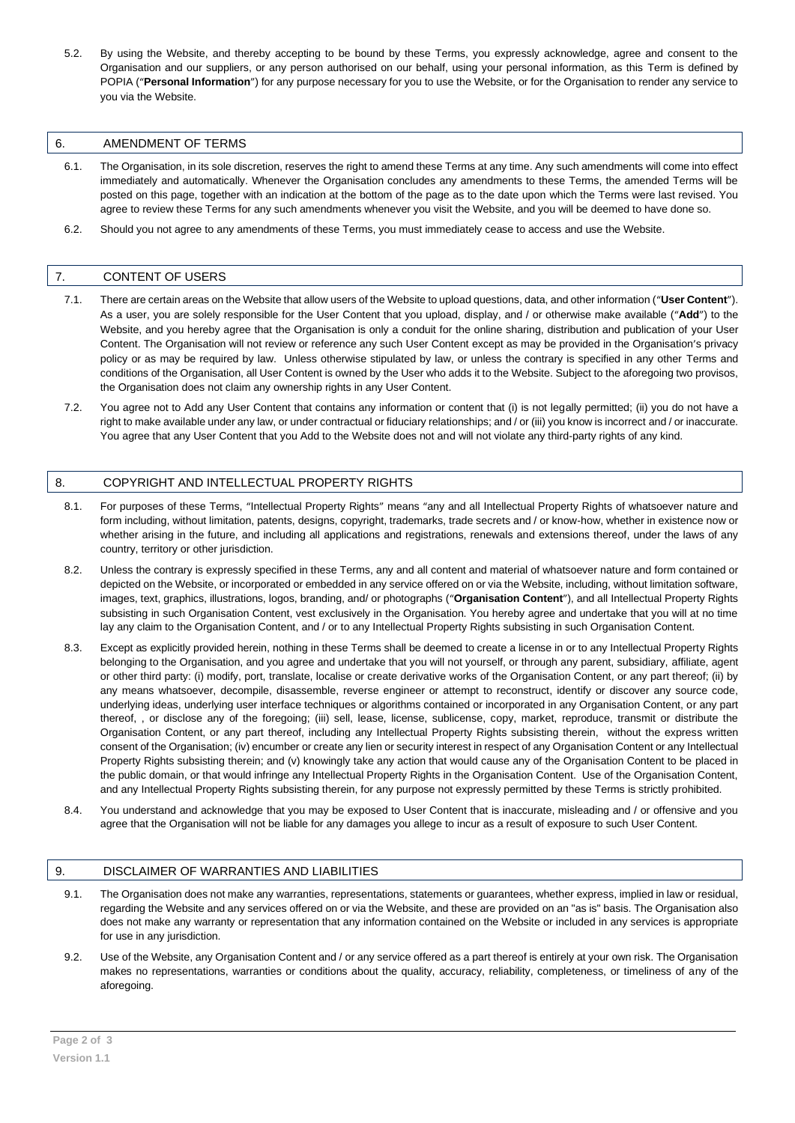5.2. By using the Website, and thereby accepting to be bound by these Terms, you expressly acknowledge, agree and consent to the Organisation and our suppliers, or any person authorised on our behalf, using your personal information, as this Term is defined by POPIA ("**Personal Information**") for any purpose necessary for you to use the Website, or for the Organisation to render any service to you via the Website.

#### 6. AMENDMENT OF TERMS

- 6.1. The Organisation, in its sole discretion, reserves the right to amend these Terms at any time. Any such amendments will come into effect immediately and automatically. Whenever the Organisation concludes any amendments to these Terms, the amended Terms will be posted on this page, together with an indication at the bottom of the page as to the date upon which the Terms were last revised. You agree to review these Terms for any such amendments whenever you visit the Website, and you will be deemed to have done so.
- 6.2. Should you not agree to any amendments of these Terms, you must immediately cease to access and use the Website.

#### 7. CONTENT OF USERS

- 7.1. There are certain areas on the Website that allow users of the Website to upload questions, data, and other information ("**User Content**"). As a user, you are solely responsible for the User Content that you upload, display, and / or otherwise make available ("**Add**") to the Website, and you hereby agree that the Organisation is only a conduit for the online sharing, distribution and publication of your User Content. The Organisation will not review or reference any such User Content except as may be provided in the Organisation's privacy policy or as may be required by law. Unless otherwise stipulated by law, or unless the contrary is specified in any other Terms and conditions of the Organisation, all User Content is owned by the User who adds it to the Website. Subject to the aforegoing two provisos, the Organisation does not claim any ownership rights in any User Content.
- 7.2. You agree not to Add any User Content that contains any information or content that (i) is not legally permitted; (ii) you do not have a right to make available under any law, or under contractual or fiduciary relationships; and / or (iii) you know is incorrect and / or inaccurate. You agree that any User Content that you Add to the Website does not and will not violate any third-party rights of any kind.

#### 8. COPYRIGHT AND INTELLECTUAL PROPERTY RIGHTS

- 8.1. For purposes of these Terms, "Intellectual Property Rights" means "any and all Intellectual Property Rights of whatsoever nature and form including, without limitation, patents, designs, copyright, trademarks, trade secrets and / or know-how, whether in existence now or whether arising in the future, and including all applications and registrations, renewals and extensions thereof, under the laws of any country, territory or other jurisdiction.
- 8.2. Unless the contrary is expressly specified in these Terms, any and all content and material of whatsoever nature and form contained or depicted on the Website, or incorporated or embedded in any service offered on or via the Website, including, without limitation software, images, text, graphics, illustrations, logos, branding, and/ or photographs ("**Organisation Content**"), and all Intellectual Property Rights subsisting in such Organisation Content, vest exclusively in the Organisation. You hereby agree and undertake that you will at no time lay any claim to the Organisation Content, and / or to any Intellectual Property Rights subsisting in such Organisation Content.
- 8.3. Except as explicitly provided herein, nothing in these Terms shall be deemed to create a license in or to any Intellectual Property Rights belonging to the Organisation, and you agree and undertake that you will not yourself, or through any parent, subsidiary, affiliate, agent or other third party: (i) modify, port, translate, localise or create derivative works of the Organisation Content, or any part thereof; (ii) by any means whatsoever, decompile, disassemble, reverse engineer or attempt to reconstruct, identify or discover any source code, underlying ideas, underlying user interface techniques or algorithms contained or incorporated in any Organisation Content, or any part thereof, , or disclose any of the foregoing; (iii) sell, lease, license, sublicense, copy, market, reproduce, transmit or distribute the Organisation Content, or any part thereof, including any Intellectual Property Rights subsisting therein, without the express written consent of the Organisation; (iv) encumber or create any lien or security interest in respect of any Organisation Content or any Intellectual Property Rights subsisting therein; and (v) knowingly take any action that would cause any of the Organisation Content to be placed in the public domain, or that would infringe any Intellectual Property Rights in the Organisation Content. Use of the Organisation Content, and any Intellectual Property Rights subsisting therein, for any purpose not expressly permitted by these Terms is strictly prohibited.
- 8.4. You understand and acknowledge that you may be exposed to User Content that is inaccurate, misleading and / or offensive and you agree that the Organisation will not be liable for any damages you allege to incur as a result of exposure to such User Content.

## 9. DISCLAIMER OF WARRANTIES AND LIABILITIES

- 9.1. The Organisation does not make any warranties, representations, statements or guarantees, whether express, implied in law or residual, regarding the Website and any services offered on or via the Website, and these are provided on an "as is" basis. The Organisation also does not make any warranty or representation that any information contained on the Website or included in any services is appropriate for use in any jurisdiction.
- 9.2. Use of the Website, any Organisation Content and / or any service offered as a part thereof is entirely at your own risk. The Organisation makes no representations, warranties or conditions about the quality, accuracy, reliability, completeness, or timeliness of any of the aforegoing.